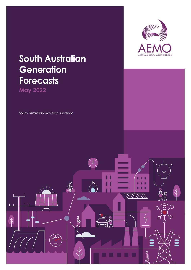

# **South Australian Generation Forecasts**

**May 2022**

South Australian Advisory Functions

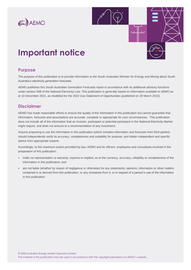



# **Important notice**

### **Purpose**

The purpose of this publication is to provide information to the South Australian Minister for Energy and Mining about South Australia's electricity generation forecasts.

AEMO publishes this South Australian Generation Forecasts report in accordance with its additional advisory functions under section 50B of the National Electricity Law. This publication is generally based on information available to AEMO as at 10 December 2021, as modelled for the 2022 Gas Statement of Opportunities (published on 29 March 2022).

### **Disclaimer**

AEMO has made reasonable efforts to ensure the quality of the information in this publication but cannot guarantee that information, forecasts and assumptions are accurate, complete or appropriate for your circumstances. This publication does not include all of the information that an investor, participant or potential participant in the National Electricity Market might require, and does not amount to a recommendation of any investment.

Anyone proposing to use the information in this publication (which includes information and forecasts from third parties) should independently verify its accuracy, completeness and suitability for purpose, and obtain independent and specific advice from appropriate experts.

Accordingly, to the maximum extent permitted by law, AEMO and its officers, employees and consultants involved in the preparation of this publication:

- make no representation or warranty, express or implied, as to the currency, accuracy, reliability or completeness of the information in this publication; and
- are not liable (whether by reason of negligence or otherwise) for any statements, opinions, information or other matters contained in or derived from this publication, or any omissions from it, or in respect of a person's use of the information in this publication.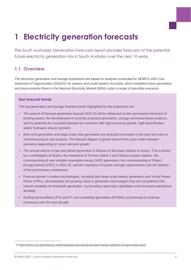# **1 Electricity generation forecasts**

The *South Australian Generation Forecasts* report provides forecasts of the potential future electricity generation mix in South Australia over the next 10 years.

## **1.1 Overview**

The electricity generation and storage projections are based on analysis conducted for AEMO's 2022 *Gas*  Statement of Opportunities (GSOO)<sup>1</sup> for eastern and south-eastern Australia, which modelled future generation and interconnector flows in the National Electricity Market (NEM) under a range of plausible scenarios.

### **Key forecast trends**

The key generation and storage forecast trends highlighted by the projections are:

- The amount of forecast generation beyond 2022-23 will be influenced by the announced retirement of existing assets, the development of currently proposed generation, storage and transmission projects, and the potential for increased demand (in scenarios with high economic growth, high electrification and/or hydrogen industry growth).
- Both wind generation and large-scale solar generation are forecast to increase in the near term due to commissioning of new projects. The forecast degree of growth beyond this point varies between scenarios depending on future demand growth.
- The annual volume of gas and diesel generation is forecast to decrease relative to history. This is driven by a combination of factors: the retirement of Torrens Island A and Osborne power stations, the commissioning of new variable renewable energy (VRE) generation, the commissioning of Project EnergyConnect (PEC) in 2025-26, and the relaxation of system strength requirements with the delivery of the synchronous condensers.
- Forecast growth in battery technologies, including both large-scale battery generation and Virtual Power Plants (VPPs), demonstrates the growing value in generation technologies that can complement the natural variability of renewable generation, by providing rapid start capabilities and increased operational flexibility.
- Rooftop photovoltaics (PV) and PV non-scheduled generation (PVNSG) are forecast to continue increasing over the next decade.

<sup>1</sup> A[t https://aemo.com.au/en/energy-systems/gas/gas-forecasting-and-planning/gas-statement-of-opportunities-gsoo.](https://aemo.com.au/en/energy-systems/gas/gas-forecasting-and-planning/gas-statement-of-opportunities-gsoo)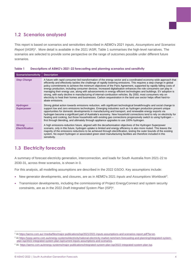## **1.2 Scenarios analysed**

This report is based on scenarios and sensitivities described in AEMO's 2021 *Inputs, Assumptions and Scenarios Report* (IASR)<sup>2</sup>. More detail is available in the 2021 IASR; [Table 1](#page-3-0) summarises the high-level narratives. The scenarios are selected to provide some perspective on the range of outcomes possible under different future scenarios.

| <b>Scenario/sensitivity</b>             | <b>Description</b>                                                                                                                                                                                                                                                                                                                                                                                                                                                                                                                                                                                                                                                                                                                                                                                                                                                 |
|-----------------------------------------|--------------------------------------------------------------------------------------------------------------------------------------------------------------------------------------------------------------------------------------------------------------------------------------------------------------------------------------------------------------------------------------------------------------------------------------------------------------------------------------------------------------------------------------------------------------------------------------------------------------------------------------------------------------------------------------------------------------------------------------------------------------------------------------------------------------------------------------------------------------------|
| <b>Step Change</b>                      | A future with rapid consumer-led transformation of the energy sector and a coordinated economy-wide approach that<br>efficiently and effectively tackles the challenge of rapidly lowering emissions. This requires a step change in global<br>policy commitments to achieve the minimum objectives of the Paris Agreement, supported by rapidly falling costs of<br>energy production, including consumer devices. Increased digitalisation enhances the role consumers can play in<br>managing their energy use, along with advancements in energy efficient technologies and buildings. EV adoption is<br>strong, with early decline in manufacturing of internal-combustion vehicles. By 2050, most consumers rely on<br>electricity to heat their homes and businesses. Carbon sequestration in the land use sector helps offset hard-to-<br>abate emissions. |
| <b>Hydrogen</b><br><b>Superpower</b>    | Strong global action towards emissions reduction, with significant technological breakthroughs and social change to<br>support low and zero emissions technologies. Emerging industries such as hydrogen production present unique<br>opportunities for domestic developments in manufacturing and transport, and renewable energy exports via<br>hydrogen become a significant part of Australia's economy. New household connections tend to rely on electricity for<br>heating and cooking, but those households with existing gas connections progressively switch to using hydrogen –<br>first through blending, and ultimately through appliance upgrades to use 100% hydrogen.                                                                                                                                                                              |
| <b>Strong</b><br><b>Electrification</b> | A high emissions-reduction future, aligned with the decarbonisation objectives of the Hydrogen Superpower<br>scenario, only in this future, hydrogen uptake is limited and energy efficiency is also more muted. This leaves the<br>majority of the emissions reductions to be achieved through electrification, testing the outer bounds of the existing<br>system. No export hydrogen or associated green steel manufacturing facilities are therefore included in this<br>sensitivity.                                                                                                                                                                                                                                                                                                                                                                          |

### <span id="page-3-0"></span>**Table 1 Descriptions of AEMO's 2021-22 forecasting and planning scenarios and sensitivity**

## **1.3 Electricity forecasts**

A summary of forecast electricity generation, interconnection, and loads for South Australia from 2021-22 to 2030-31, across three scenarios, is shown in [0.](#page-4-0)

For this analysis, all modelling assumptions are described in the 2022 GSOO. Key assumptions include:

- New generator developments, and closures, are as in AEMO's 2021 *Inputs and Assumptions Workbook*<sup>3</sup> .
- Transmission developments, including the commissioning of Project EnergyConnect and system security constraints, are as in the 2022 *Draft Integrated System Plan* (ISP)<sup>4</sup> .

<sup>2</sup> A[t https://aemo.com.au/-/media/files/major-publications/isp/2021/2021-inputs-assumptions-and-scenarios-report.pdf?la=en.](https://aemo.com.au/-/media/files/major-publications/isp/2021/2021-inputs-assumptions-and-scenarios-report.pdf?la=en)

<sup>3</sup> A[t https://www.aemo.com.au/energy-systems/electricity/national-electricity-market-nem/nem-forecasting-and-planning/integrated-system](https://www.aemo.com.au/energy-systems/electricity/national-electricity-market-nem/nem-forecasting-and-planning/integrated-system-plan-isp/2022-integrated-system-plan-isp/current-inputs-assumptions-and-scenarios)[plan-isp/2022-integrated-system-plan-isp/current-inputs-assumptions-and-scenarios.](https://www.aemo.com.au/energy-systems/electricity/national-electricity-market-nem/nem-forecasting-and-planning/integrated-system-plan-isp/2022-integrated-system-plan-isp/current-inputs-assumptions-and-scenarios)

<sup>4</sup> At[: https://aemo.com.au/energy-systems/major-publications/integrated-system-plan-isp/2022-integrated-system-plan-isp.](https://aemo.com.au/energy-systems/major-publications/integrated-system-plan-isp/2022-integrated-system-plan-isp)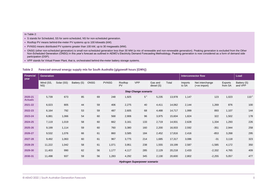### In Table 2:

- S stands for Scheduled, SS for semi-scheduled, NS for non-scheduled generation.
- Rooftop PV means behind-the-meter PV systems up to 100 kilowatts (kW).
- PVNSG means distributed PV systems greater than 100 kW, up to 30 megawatts (MW).
- ONSG (other non-scheduled generation) is small non-scheduled generation less than 30 MW (a mix of renewable and non-renewable generation). Peaking generation is excluded from the Other Non-Scheduled Generation (ONSG) in this year's forecast as outlined in AEMO's Electricity Demand Forecasting Methodology. Peaking generation is now considered as a form of demand side participation (DSP).
- VPP stands for Virtual Power Plant, that is, orchestrated behind-the-meter battery storage systems.

### **Table 2 Forecast annual energy supply mix for South Australia (gigawatt hours [GWh])**

<span id="page-4-0"></span>

| <b>Financial</b><br>year    | <b>Generation</b> |            |             |             |              |                      |                                     |                       |        | <b>Interconnector flow</b> |                                   |                    | Load                   |
|-----------------------------|-------------------|------------|-------------|-------------|--------------|----------------------|-------------------------------------|-----------------------|--------|----------------------------|-----------------------------------|--------------------|------------------------|
|                             | Wind (SS,<br>NS)  | Solar (SS) | Battery (S) | <b>ONSG</b> | <b>PVNSG</b> | Rooftop<br><b>PV</b> | <b>VPP</b>                          | Gas and<br>diesel (S) | Total  | Imports<br>to SA           | Net interchange<br>$(+ve import)$ | Exports<br>from SA | Battery (S)<br>and VPP |
| <b>Step Change scenario</b> |                   |            |             |             |              |                      |                                     |                       |        |                            |                                   |                    |                        |
| 2020-21<br><b>Actuals</b>   | 5,739             | 673        | 85          | 69          | 248          | 1,925                | $5^+$                               | 5,235                 | 13,978 | 1,147                      | 123                               | 1,023              | $110^{+}$              |
| 2021-22                     | 6,023             | 805        | 44          | 59          | 406          | 2,275                | 40                                  | 4,411                 | 14,062 | 2,144                      | 1,269                             | 876                | 100                    |
| 2022-23                     | 6,164             | 792        | 53          | 59          | 487          | 2,605                | 68                                  | 4,488                 | 14,717 | 1,999                      | 893                               | 1,107              | 144                    |
| 2023-24                     | 6,881             | 1,066      | 54          | 60          | 568          | 2,906                | 96                                  | 3,975                 | 15,604 | 1,824                      | 322                               | 1,502              | 178                    |
| 2024-25                     | 7,119             | 1,019      | 58          | 60          | 662          | 3,161                | 133                                 | 2,719                 | 14,931 | 2,628                      | 1,334                             | 1,293              | 226                    |
| 2025-26                     | 9,199             | 1,114      | 59          | 60          | 760          | 3,380                | 160                                 | 2,200                 | 16,933 | 2,592                      | $-351$                            | 2,944              | 258                    |
| 2026-27                     | 9,532             | 1,076      | 66          | 61          | 860          | 3,585                | 184                                 | 2,452                 | 17,816 | 2,416                      | $-853$                            | 3,268              | 295                    |
| 2027-28                     | 9,492             | 1,063      | 60          | 61          | 967          | 3,775                | 214                                 | 1,685                 | 17,317 | 3,086                      | $-31$                             | 3,118              | 323                    |
| 2028-29                     | 11,222            | 1,042      | 58          | 61          | 1,071        | 3,951                | 238                                 | 1,555                 | 19,199 | 2,587                      | $-1,585$                          | 4,172              | 350                    |
| 2029-30                     | 11,403            | 990        | 62          | 56          | 1,177        | 4,117                | 285                                 | 2,129                 | 20,218 | 2,433                      | $-2,332$                          | 4,765              | 409                    |
| 2030-31                     | 11,498            | 937        | 59          | 56          | 1,283        | 4,292                | 345                                 | 2,130                 | 20,600 | 2,802                      | $-2,255$                          | 5,057              | 477                    |
|                             |                   |            |             |             |              |                      | <b>Hydrogen Superpower scenario</b> |                       |        |                            |                                   |                    |                        |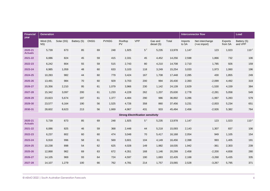| <b>Financial</b><br>year  | <b>Generation</b> |            |             |             |              |               |                                           |                       |        |                  | <b>Interconnector flow</b>        |                    | Load                   |
|---------------------------|-------------------|------------|-------------|-------------|--------------|---------------|-------------------------------------------|-----------------------|--------|------------------|-----------------------------------|--------------------|------------------------|
|                           | Wind (SS,<br>NS)  | Solar (SS) | Battery (S) | <b>ONSG</b> | <b>PVNSG</b> | Rooftop<br>PV | <b>VPP</b>                                | Gas and<br>diesel (S) | Total  | Imports<br>to SA | Net interchange<br>$(+ve import)$ | Exports<br>from SA | Battery (S)<br>and VPP |
| 2020-21<br><b>Actuals</b> | 5,739             | 673        | 85          | 69          | 248          | 1,925         | $5^{\dagger}$                             | 5,235                 | 13,978 | 1,147            | 123                               | 1,023              | $110^{+}$              |
| 2021-22                   | 6,086             | 824        | 45          | 59          | 415          | 2,331         | 45                                        | 4,452                 | 14,256 | 2,598            | 1,866                             | 732                | 106                    |
| 2022-23                   | 6,242             | 804        | 55          | 59          | 515          | 2,743         | 80                                        | 4,210                 | 14,708 | 2,710            | 1,785                             | 926                | 159                    |
| 2023-24                   | 6,985             | 1,059      | 48          | 60          | 633          | 3,103         | 118                                       | 3,249                 | 15,254 | 3,033            | 1,973                             | 1,060              | 196                    |
| 2024-25                   | 10,283            | 982        | 44          | 60          | 779          | 3,424         | 167                                       | 1,708                 | 17,448 | 2,285            | 430                               | 1,855              | 249                    |
| 2025-26                   | 13,491            | 984        | 70          | 60          | 929          | 3,703         | 200                                       | 994                   | 20,430 | 2,393            | $-2,099$                          | 4,492              | 319                    |
| 2026-27                   | 15,356            | 2,210      | 95          | 61          | 1,079        | 3,966         | 230                                       | 1,142                 | 24,139 | 2,629            | $-1,530$                          | 4,159              | 384                    |
| 2027-28                   | 15,342            | 3,097      | 200         | 61          | 1,233        | 4,228         | 262                                       | 1,207                 | 25,630 | 2,778            | $-2,281$                          | 5,058              | 549                    |
| 2028-29                   | 23,823            | 5,674      | 197         | 61          | 1,377        | 4,484         | 290                                       | 986                   | 36,892 | 3,286            | $-1,997$                          | 5,283              | 579                    |
| 2029-30                   | 23,577            | 6,164      | 190         | 56          | 1,525        | 4,726         | 358                                       | 860                   | 37,456 | 3,231            | $-2,003$                          | 5,234              | 651                    |
| 2030-31                   | 28,602            | 8,623      | 213         | 56          | 1,669        | 4,967         | 431                                       | 933                   | 45,494 | 2,456            | $-2,926$                          | 5,382              | 764                    |
|                           |                   |            |             |             |              |               | <b>Strong Electrification sensitivity</b> |                       |        |                  |                                   |                    |                        |
| 2020-21<br><b>Actuals</b> | 5,739             | 673        | 85          | 69          | 248          | 1,925         | $5^+$                                     | 5,235                 | 13,978 | 1,147            | 123                               | 1,023              | $110^{+}$              |
| 2021-22                   | 6,086             | 825        | 46          | 59          | 368          | 2,448         | 44                                        | 5,218                 | 15,093 | 2,143            | 1,307                             | 837                | 106                    |
| 2022-23                   | 6,237             | 802        | 60          | 60          | 474          | 3,048         | 70                                        | 5,417                 | 16,168 | 2,054            | 949                               | 1,105              | 154                    |
| 2023-24                   | 6,918             | 996        | 58          | 61          | 569          | 3,601         | 104                                       | 4,149                 | 16,456 | 2,398            | 993                               | 1,405              | 191                    |
| 2024-25                   | 10,238            | 898        | 54          | 62          | 625          | 4,028         | 149                                       | 1,982                 | 18,035 | 1,942            | $-361$                            | 2,303              | 239                    |
| 2025-26                   | 12,868            | 962        | 69          | 63          | 672          | 4,351         | 168                                       | 1,146                 | 20,299 | 2,458            | $-2,200$                          | 4,658              | 280                    |
| 2026-27                   | 14,105            | 969        | 93          | 64          | 724          | 4,597         | 190                                       | 1,683                 | 22,426 | 2,168            | $-3,268$                          | 5,435              | 335                    |
| 2027-28                   | 14,107            | 1,279      | 100         | 66          | 762          | 4,781         | 214                                       | 1,757                 | 23,065 | 2,528            | $-3,267$                          | 5,795              | 371                    |